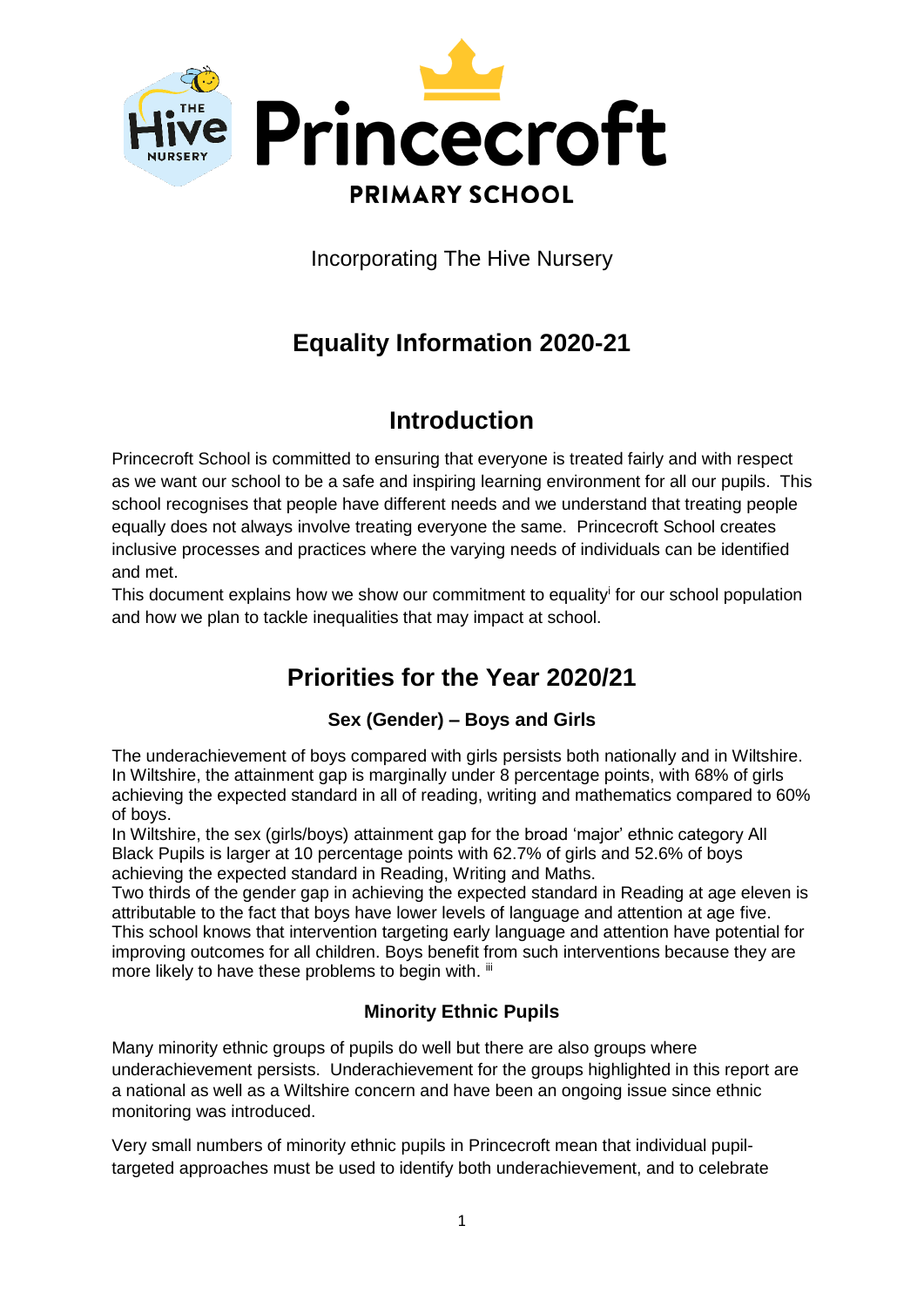

Incorporating The Hive Nursery

# **Equality Information 2020-21**

## **Introduction**

Princecroft School is committed to ensuring that everyone is treated fairly and with respect as we want our school to be a safe and inspiring learning environment for all our pupils. This school recognises that people have different needs and we understand that treating people equally does not always involve treating everyone the same. Princecroft School creates inclusive processes and practices where the varying needs of individuals can be identified and met.

This document explains how we show our commitment to equality for our school population and how we plan to tackle inequalities that may impact at school.

# **Priorities for the Year 2020/21**

## **Sex (Gender) – Boys and Girls**

The underachievement of boys compared with girls persists both nationally and in Wiltshire. In Wiltshire, the attainment gap is marginally under 8 percentage points, with 68% of girls achieving the expected standard in all of reading, writing and mathematics compared to 60% of boys.

In Wiltshire, the sex (girls/boys) attainment gap for the broad 'major' ethnic category All Black Pupils is larger at 10 percentage points with 62.7% of girls and 52.6% of boys achieving the expected standard in Reading, Writing and Maths.

Two thirds of the gender gap in achieving the expected standard in Reading at age eleven is attributable to the fact that boys have lower levels of language and attention at age five. This school knows that intervention targeting early language and attention have potential for improving outcomes for all children. Boys benefit from such interventions because they are more likely to have these problems to begin with. iii

## **Minority Ethnic Pupils**

Many minority ethnic groups of pupils do well but there are also groups where underachievement persists. Underachievement for the groups highlighted in this report are a national as well as a Wiltshire concern and have been an ongoing issue since ethnic monitoring was introduced.

Very small numbers of minority ethnic pupils in Princecroft mean that individual pupiltargeted approaches must be used to identify both underachievement, and to celebrate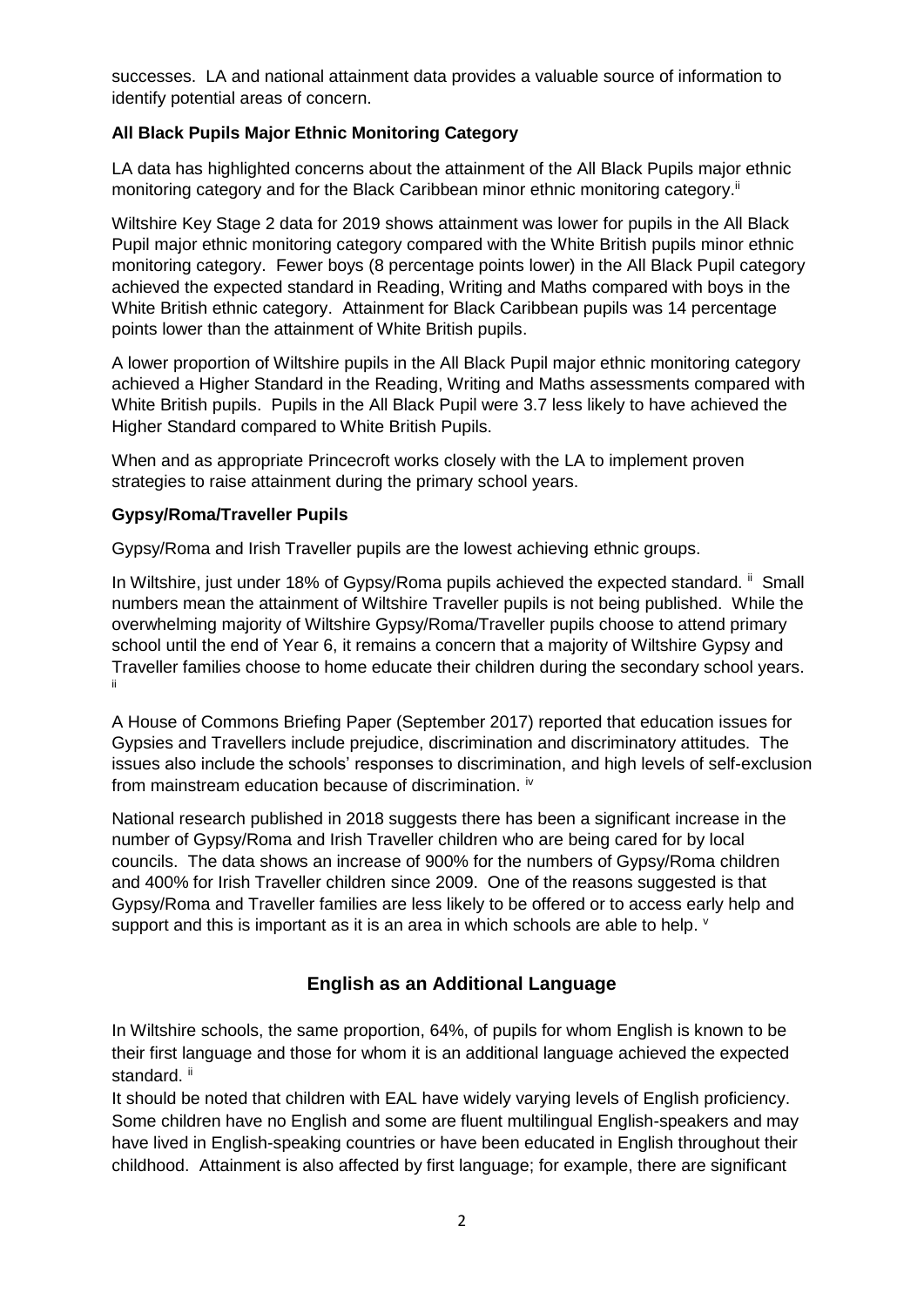successes. LA and national attainment data provides a valuable source of information to identify potential areas of concern.

#### **All Black Pupils Major Ethnic Monitoring Category**

LA data has highlighted concerns about the attainment of the All Black Pupils major ethnic monitoring category and for the Black Caribbean minor ethnic monitoring category.<sup>ii</sup>

Wiltshire Key Stage 2 data for 2019 shows attainment was lower for pupils in the All Black Pupil major ethnic monitoring category compared with the White British pupils minor ethnic monitoring category. Fewer boys (8 percentage points lower) in the All Black Pupil category achieved the expected standard in Reading, Writing and Maths compared with boys in the White British ethnic category. Attainment for Black Caribbean pupils was 14 percentage points lower than the attainment of White British pupils.

A lower proportion of Wiltshire pupils in the All Black Pupil major ethnic monitoring category achieved a Higher Standard in the Reading, Writing and Maths assessments compared with White British pupils. Pupils in the All Black Pupil were 3.7 less likely to have achieved the Higher Standard compared to White British Pupils.

When and as appropriate Princecroft works closely with the LA to implement proven strategies to raise attainment during the primary school years.

#### **Gypsy/Roma/Traveller Pupils**

Gypsy/Roma and Irish Traveller pupils are the lowest achieving ethnic groups.

In Wiltshire, just under 18% of Gypsy/Roma pupils achieved the expected standard. <sup>ii</sup> Small numbers mean the attainment of Wiltshire Traveller pupils is not being published. While the overwhelming majority of Wiltshire Gypsy/Roma/Traveller pupils choose to attend primary school until the end of Year 6, it remains a concern that a majority of Wiltshire Gypsy and Traveller families choose to home educate their children during the secondary school years. ii

A House of Commons Briefing Paper (September 2017) reported that education issues for Gypsies and Travellers include prejudice, discrimination and discriminatory attitudes. The issues also include the schools' responses to discrimination, and high levels of self-exclusion from mainstream education because of discrimination. <sup>iv</sup>

National research published in 2018 suggests there has been a significant increase in the number of Gypsy/Roma and Irish Traveller children who are being cared for by local councils. The data shows an increase of 900% for the numbers of Gypsy/Roma children and 400% for Irish Traveller children since 2009. One of the reasons suggested is that Gypsy/Roma and Traveller families are less likely to be offered or to access early help and support and this is important as it is an area in which schools are able to help.  $\vee$ 

#### **English as an Additional Language**

In Wiltshire schools, the same proportion, 64%, of pupils for whom English is known to be their first language and those for whom it is an additional language achieved the expected standard. ii

It should be noted that children with EAL have widely varying levels of English proficiency. Some children have no English and some are fluent multilingual English-speakers and may have lived in English-speaking countries or have been educated in English throughout their childhood. Attainment is also affected by first language; for example, there are significant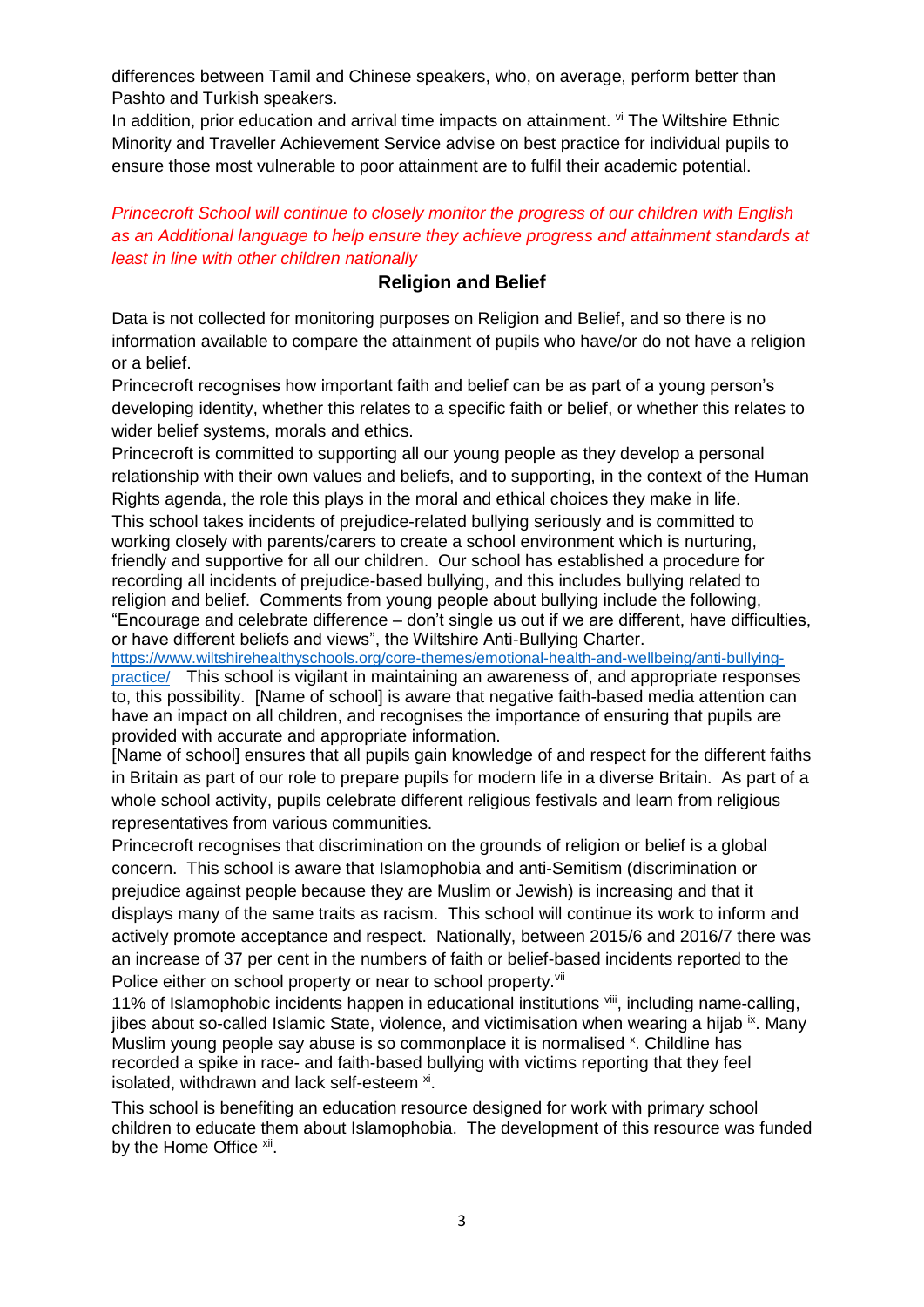differences between Tamil and Chinese speakers, who, on average, perform better than Pashto and Turkish speakers.

In addition, prior education and arrival time impacts on attainment. vi The Wiltshire Ethnic Minority and Traveller Achievement Service advise on best practice for individual pupils to ensure those most vulnerable to poor attainment are to fulfil their academic potential.

*Princecroft School will continue to closely monitor the progress of our children with English as an Additional language to help ensure they achieve progress and attainment standards at least in line with other children nationally*

### **Religion and Belief**

Data is not collected for monitoring purposes on Religion and Belief, and so there is no information available to compare the attainment of pupils who have/or do not have a religion or a belief.

Princecroft recognises how important faith and belief can be as part of a young person's developing identity, whether this relates to a specific faith or belief, or whether this relates to wider belief systems, morals and ethics.

Princecroft is committed to supporting all our young people as they develop a personal relationship with their own values and beliefs, and to supporting, in the context of the Human Rights agenda, the role this plays in the moral and ethical choices they make in life.

This school takes incidents of prejudice-related bullying seriously and is committed to working closely with parents/carers to create a school environment which is nurturing, friendly and supportive for all our children. Our school has established a procedure for recording all incidents of prejudice-based bullying, and this includes bullying related to religion and belief. Comments from young people about bullying include the following, "Encourage and celebrate difference – don't single us out if we are different, have difficulties, or have different beliefs and views", the Wiltshire Anti-Bullying Charter.

[https://www.wiltshirehealthyschools.org/core-themes/emotional-health-and-wellbeing/anti-bullying](https://www.wiltshirehealthyschools.org/core-themes/emotional-health-and-wellbeing/anti-bullying-practice/)[practice/](https://www.wiltshirehealthyschools.org/core-themes/emotional-health-and-wellbeing/anti-bullying-practice/) This school is vigilant in maintaining an awareness of, and appropriate responses to, this possibility. [Name of school] is aware that negative faith-based media attention can have an impact on all children, and recognises the importance of ensuring that pupils are provided with accurate and appropriate information.

[Name of school] ensures that all pupils gain knowledge of and respect for the different faiths in Britain as part of our role to prepare pupils for modern life in a diverse Britain. As part of a whole school activity, pupils celebrate different religious festivals and learn from religious representatives from various communities.

Princecroft recognises that discrimination on the grounds of religion or belief is a global concern. This school is aware that Islamophobia and anti-Semitism (discrimination or prejudice against people because they are Muslim or Jewish) is increasing and that it displays many of the same traits as racism. This school will continue its work to inform and actively promote acceptance and respect. Nationally, between 2015/6 and 2016/7 there was an increase of 37 per cent in the numbers of faith or belief-based incidents reported to the Police either on school property or near to school property. Vii

11% of Islamophobic incidents happen in educational institutions vill, including name-calling, jibes about so-called Islamic State, violence, and victimisation when wearing a hijab ix. Many Muslim young people say abuse is so commonplace it is normalised <sup>x</sup>. Childline has recorded a spike in race- and faith-based bullying with victims reporting that they feel isolated, withdrawn and lack self-esteem <sup>xi</sup>.

This school is benefiting an education resource designed for work with primary school children to educate them about Islamophobia. The development of this resource was funded by the Home Office xii.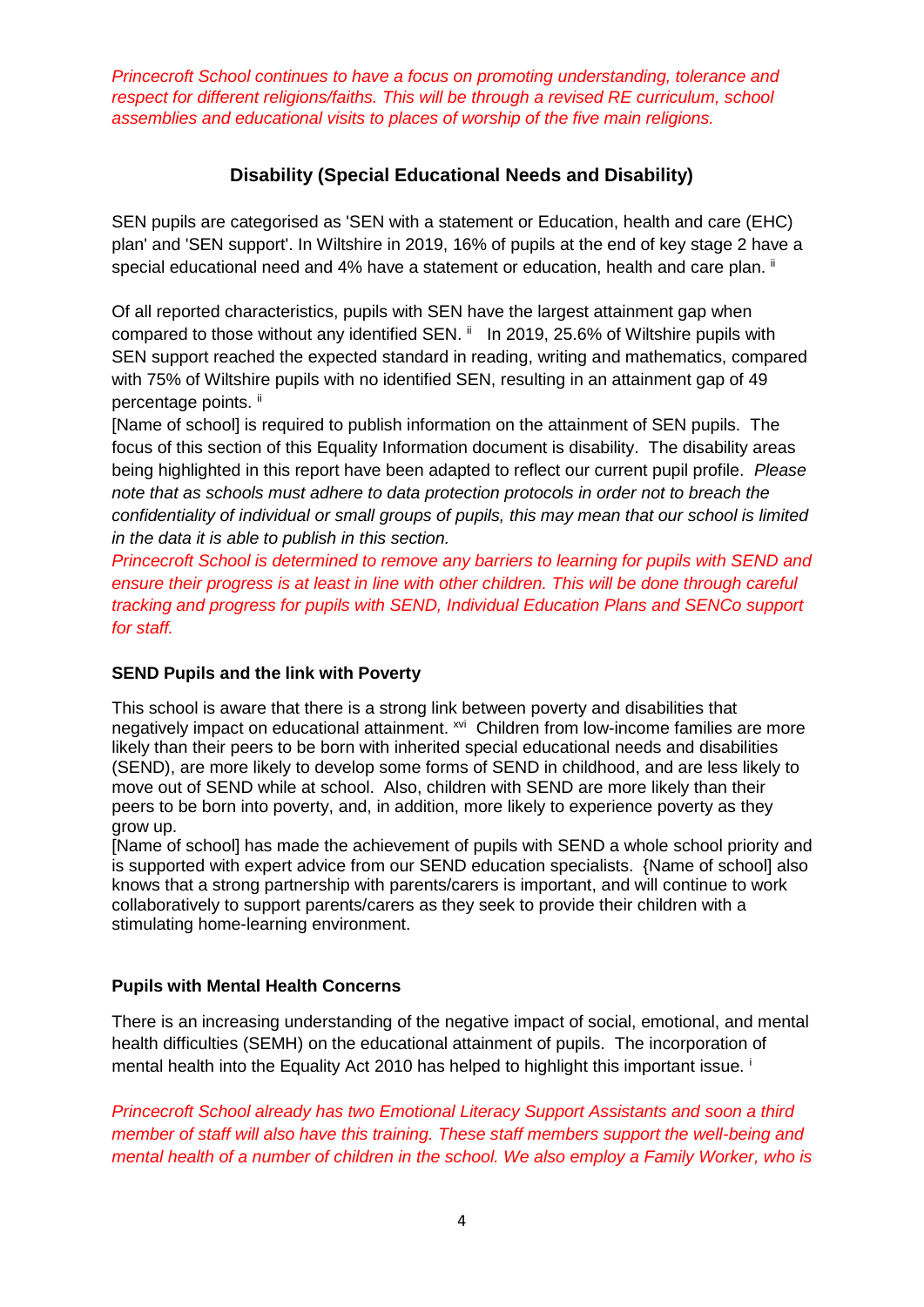*Princecroft School continues to have a focus on promoting understanding, tolerance and respect for different religions/faiths. This will be through a revised RE curriculum, school assemblies and educational visits to places of worship of the five main religions.* 

### **Disability (Special Educational Needs and Disability)**

SEN pupils are categorised as 'SEN with a statement or Education, health and care (EHC) plan' and 'SEN support'. In Wiltshire in 2019, 16% of pupils at the end of key stage 2 have a special educational need and 4% have a statement or education, health and care plan. <sup>ii</sup>

Of all reported characteristics, pupils with SEN have the largest attainment gap when compared to those without any identified SEN. ii In 2019, 25.6% of Wiltshire pupils with SEN support reached the expected standard in reading, writing and mathematics, compared with 75% of Wiltshire pupils with no identified SEN, resulting in an attainment gap of 49 percentage points. ii

[Name of school] is required to publish information on the attainment of SEN pupils. The focus of this section of this Equality Information document is disability. The disability areas being highlighted in this report have been adapted to reflect our current pupil profile. *Please note that as schools must adhere to data protection protocols in order not to breach the confidentiality of individual or small groups of pupils, this may mean that our school is limited in the data it is able to publish in this section.*

*Princecroft School is determined to remove any barriers to learning for pupils with SEND and ensure their progress is at least in line with other children. This will be done through careful tracking and progress for pupils with SEND, Individual Education Plans and SENCo support for staff.* 

#### **SEND Pupils and the link with Poverty**

This school is aware that there is a strong link between poverty and disabilities that negatively impact on educational attainment. <sup>xvi</sup> Children from low-income families are more likely than their peers to be born with inherited special educational needs and disabilities (SEND), are more likely to develop some forms of SEND in childhood, and are less likely to move out of SEND while at school. Also, children with SEND are more likely than their peers to be born into poverty, and, in addition, more likely to experience poverty as they grow up.

[Name of school] has made the achievement of pupils with SEND a whole school priority and is supported with expert advice from our SEND education specialists. {Name of school] also knows that a strong partnership with parents/carers is important, and will continue to work collaboratively to support parents/carers as they seek to provide their children with a stimulating home-learning environment.

#### **Pupils with Mental Health Concerns**

There is an increasing understanding of the negative impact of social, emotional, and mental health difficulties (SEMH) on the educational attainment of pupils. The incorporation of mental health into the Equality Act 2010 has helped to highlight this important issue.

*Princecroft School already has two Emotional Literacy Support Assistants and soon a third member of staff will also have this training. These staff members support the well-being and mental health of a number of children in the school. We also employ a Family Worker, who is*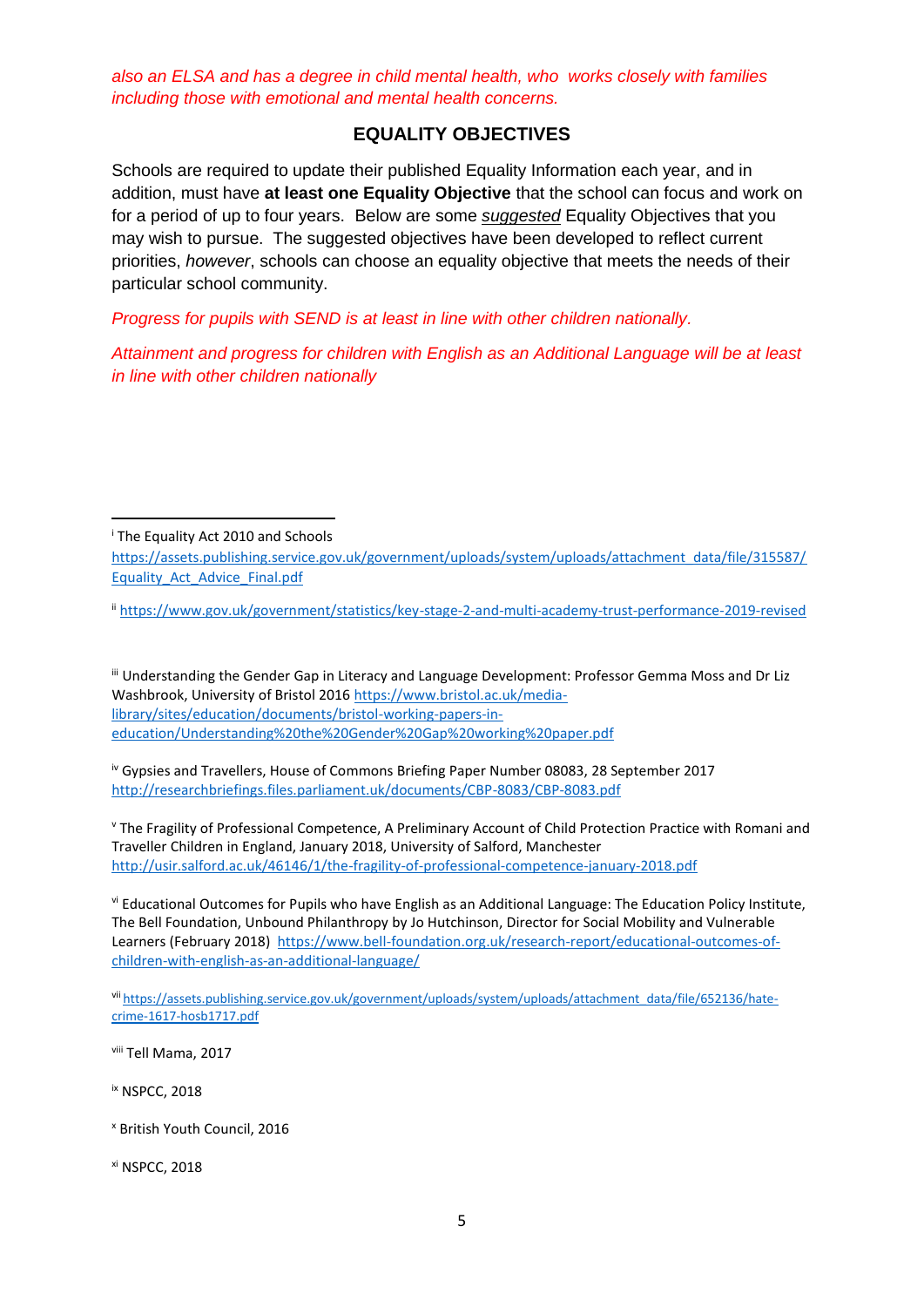*also an ELSA and has a degree in child mental health, who works closely with families including those with emotional and mental health concerns.* 

#### **EQUALITY OBJECTIVES**

Schools are required to update their published Equality Information each year, and in addition, must have **at least one Equality Objective** that the school can focus and work on for a period of up to four years. Below are some *suggested* Equality Objectives that you may wish to pursue. The suggested objectives have been developed to reflect current priorities, *however*, schools can choose an equality objective that meets the needs of their particular school community.

*Progress for pupils with SEND is at least in line with other children nationally.*

*Attainment and progress for children with English as an Additional Language will be at least in line with other children nationally*

**.** 

ii <https://www.gov.uk/government/statistics/key-stage-2-and-multi-academy-trust-performance-2019-revised>

iii Understanding the Gender Gap in Literacy and Language Development: Professor Gemma Moss and Dr Liz Washbrook, University of Bristol 2016 [https://www.bristol.ac.uk/media](https://www.bristol.ac.uk/media-library/sites/education/documents/bristol-working-papers-in-education/Understanding%20the%20Gender%20Gap%20working%20paper.pdf)[library/sites/education/documents/bristol-working-papers-in](https://www.bristol.ac.uk/media-library/sites/education/documents/bristol-working-papers-in-education/Understanding%20the%20Gender%20Gap%20working%20paper.pdf)[education/Understanding%20the%20Gender%20Gap%20working%20paper.pdf](https://www.bristol.ac.uk/media-library/sites/education/documents/bristol-working-papers-in-education/Understanding%20the%20Gender%20Gap%20working%20paper.pdf)

iv Gypsies and Travellers, House of Commons Briefing Paper Number 08083, 28 September 2017 <http://researchbriefings.files.parliament.uk/documents/CBP-8083/CBP-8083.pdf>

<sup>v</sup> The Fragility of Professional Competence, A Preliminary Account of Child Protection Practice with Romani and Traveller Children in England, January 2018, University of Salford, Manchester <http://usir.salford.ac.uk/46146/1/the-fragility-of-professional-competence-january-2018.pdf>

vi Educational Outcomes for Pupils who have English as an Additional Language: The Education Policy Institute, The Bell Foundation, Unbound Philanthropy by Jo Hutchinson, Director for Social Mobility and Vulnerable Learners (February 2018) [https://www.bell-foundation.org.uk/research-report/educational-outcomes-of](https://www.bell-foundation.org.uk/research-report/educational-outcomes-of-children-with-english-as-an-additional-language/)[children-with-english-as-an-additional-language/](https://www.bell-foundation.org.uk/research-report/educational-outcomes-of-children-with-english-as-an-additional-language/)

vii [https://assets.publishing.service.gov.uk/government/uploads/system/uploads/attachment\\_data/file/652136/hate](https://assets.publishing.service.gov.uk/government/uploads/system/uploads/attachment_data/file/652136/hate-crime-1617-hosb1717.pdf)[crime-1617-hosb1717.pdf](https://assets.publishing.service.gov.uk/government/uploads/system/uploads/attachment_data/file/652136/hate-crime-1617-hosb1717.pdf)

viii Tell Mama, 2017

ix NSPCC, 2018

<sup>x</sup> British Youth Council, 2016

xi NSPCC, 2018

<sup>i</sup> The Equality Act 2010 and Schools

[https://assets.publishing.service.gov.uk/government/uploads/system/uploads/attachment\\_data/file/315587/](https://assets.publishing.service.gov.uk/government/uploads/system/uploads/attachment_data/file/315587/Equality_Act_Advice_Final.pdf) [Equality\\_Act\\_Advice\\_Final.pdf](https://assets.publishing.service.gov.uk/government/uploads/system/uploads/attachment_data/file/315587/Equality_Act_Advice_Final.pdf)